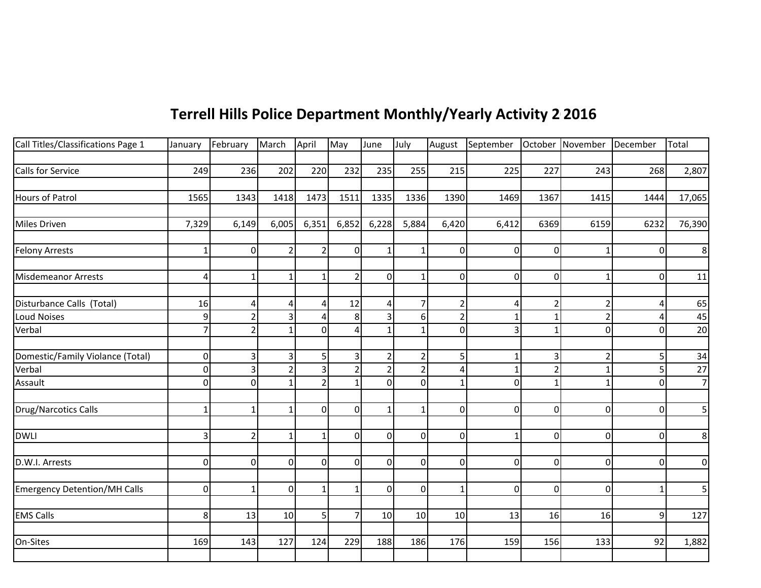## **Terrell Hills Police Department Monthly/Yearly Activity 2015 2016**

| Call Titles/Classifications Page 1  | January        | February       | March          | April          | May            | June           | July           | August         | September October November December |                |                         |             | Total          |
|-------------------------------------|----------------|----------------|----------------|----------------|----------------|----------------|----------------|----------------|-------------------------------------|----------------|-------------------------|-------------|----------------|
|                                     |                |                |                |                |                |                |                |                |                                     |                |                         |             |                |
| Calls for Service                   | 249            | 236            | 202            | 220            | 232            | 235            | 255            | 215            | 225                                 | 227            | 243                     | 268         | 2,807          |
|                                     |                |                |                |                |                |                |                |                |                                     |                |                         |             |                |
| <b>Hours of Patrol</b>              | 1565           | 1343           | 1418           | 1473           | 1511           | 1335           | 1336           | 1390           | 1469                                | 1367           | 1415                    | 1444        | 17,065         |
|                                     |                |                |                |                |                |                |                |                |                                     |                |                         |             |                |
| Miles Driven                        | 7,329          | 6,149          | 6,005          | 6,351          | 6,852          | 6,228          | 5,884          | 6,420          | 6,412                               | 6369           | 6159                    | 6232        | 76,390         |
|                                     |                |                |                |                |                |                |                |                |                                     |                |                         |             |                |
| <b>Felony Arrests</b>               | $\mathbf 1$    | $\mathbf 0$    | $\overline{2}$ | $\overline{2}$ | $\Omega$       | $\mathbf{1}$   | $\mathbf{1}$   | $\overline{0}$ | $\overline{0}$                      | $\overline{0}$ | $\mathbf 1$             | $\mathbf 0$ | 8              |
|                                     |                |                |                |                |                |                |                |                |                                     |                |                         |             |                |
| <b>Misdemeanor Arrests</b>          | $\overline{4}$ | $\mathbf{1}$   | $\mathbf{1}$   | $\mathbf{1}$   | $\overline{2}$ | $\overline{0}$ | $\mathbf{1}$   | $\overline{0}$ | $\overline{0}$                      | $\overline{0}$ | 1                       | 0           | 11             |
| Disturbance Calls (Total)           | 16             | 4              | 4              | 4              | 12             | $\overline{4}$ | $\overline{7}$ | $\overline{2}$ | 4                                   | $\overline{2}$ | $\overline{\mathbf{c}}$ | Δ           | 65             |
| <b>Loud Noises</b>                  | $9$            | $\overline{2}$ | 3              | Δ              | 8              | $\overline{3}$ | $6 \mid$       | $\overline{2}$ |                                     | $\mathbf{1}$   | ີ                       |             | 45             |
| Verbal                              | $\overline{7}$ | $\overline{2}$ | $\mathbf{1}$   | $\overline{0}$ | 4              | $\mathbf{1}$   | 1              | $\mathbf 0$    | 3                                   | $\mathbf{1}$   | $\Omega$                | 0           | 20             |
|                                     |                |                |                |                |                |                |                |                |                                     |                |                         |             |                |
| Domestic/Family Violance (Total)    | $\pmb{0}$      | 3              | 3              | 5              | 3              | $\overline{2}$ | 2              | 5              |                                     | 3              | $\overline{\mathbf{c}}$ | 5           | 34             |
| Verbal                              | 0              | 3              | $\overline{2}$ | 3              | $\mathcal{P}$  | $\overline{2}$ | $\overline{2}$ | 4              | 1                                   | $\overline{2}$ | 1                       | 5           | 27             |
| Assault                             | $\overline{0}$ | $\mathbf 0$    |                | $\overline{2}$ | $\mathbf{1}$   | $\Omega$       | $\overline{0}$ | $\mathbf{1}$   | 0                                   | $\mathbf{1}$   |                         | $\Omega$    | $\overline{7}$ |
|                                     |                |                |                |                |                |                |                |                |                                     |                |                         |             |                |
| Drug/Narcotics Calls                | $\mathbf{1}$   | $\mathbf{1}$   | $\mathbf{1}$   | $\overline{0}$ | $\Omega$       | $\mathbf{1}$   |                | $\mathbf 0$    | $\overline{0}$                      | $\overline{0}$ | $\Omega$                | 0           | 5              |
|                                     |                |                |                |                |                |                |                |                |                                     |                |                         |             |                |
| <b>DWLI</b>                         | $\overline{3}$ | $\overline{2}$ | $\mathbf{1}$   | $\mathbf{1}$   | $\Omega$       | $\overline{0}$ | $\Omega$       | $\overline{0}$ |                                     | $\overline{0}$ | $\Omega$                | 0           | 8              |
|                                     |                |                |                |                |                |                |                |                |                                     |                |                         |             |                |
| D.W.I. Arrests                      | $\overline{0}$ | $\mathbf 0$    | $\Omega$       | $\overline{0}$ | $\Omega$       | $\overline{0}$ | $\Omega$       | $\overline{0}$ | $\overline{0}$                      | $\overline{0}$ | $\Omega$                | 0           | $\mathbf 0$    |
|                                     |                |                |                |                |                |                |                |                |                                     |                |                         |             |                |
| <b>Emergency Detention/MH Calls</b> | $\overline{0}$ | $\mathbf{1}$   | $\mathbf 0$    | $\mathbf{1}$   | -1             | $\overline{0}$ | $\overline{0}$ | $\mathbf{1}$   | $\overline{0}$                      | $\overline{0}$ | $\Omega$                |             | 5              |
|                                     |                |                |                |                |                |                |                |                |                                     |                |                         |             |                |
| <b>EMS Calls</b>                    | 8              | 13             | 10             | 5              | $\overline{7}$ | 10             | 10             | 10             | 13                                  | 16             | 16                      | 9           | 127            |
|                                     |                |                |                |                |                |                |                |                |                                     |                |                         |             |                |
| On-Sites                            | 169            | 143            | 127            | 124            | 229            | 188            | 186            | 176            | 159                                 | 156            | 133                     | 92          | 1,882          |
|                                     |                |                |                |                |                |                |                |                |                                     |                |                         |             |                |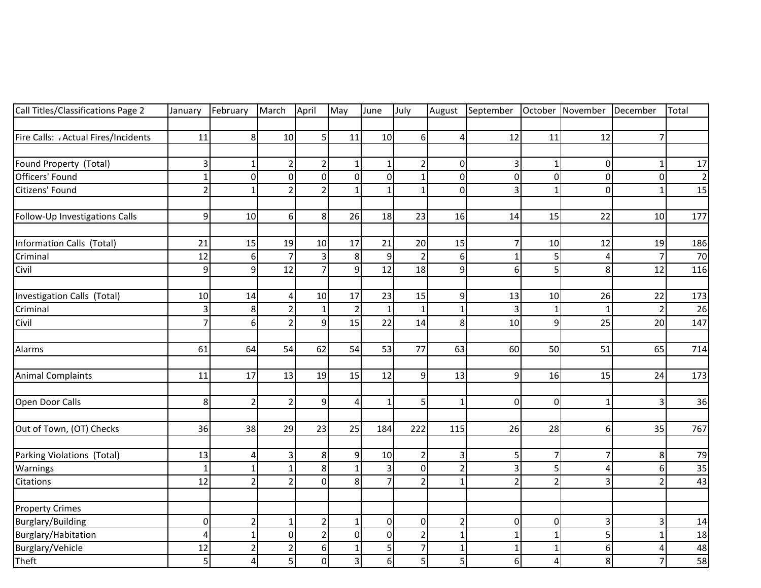| Call Titles/Classifications Page 2 | January                   | February        | March          | April          | May            | June           | July           | August                  | September      |                         | October November | December                  | Total          |
|------------------------------------|---------------------------|-----------------|----------------|----------------|----------------|----------------|----------------|-------------------------|----------------|-------------------------|------------------|---------------------------|----------------|
|                                    |                           |                 |                |                |                |                |                |                         |                |                         |                  |                           |                |
| Fire Calls: Actual Fires/Incidents | 11                        | 8 <sup>1</sup>  | 10             | 5              | 11             | 10             | 6              | $\overline{\mathbf{r}}$ | 12             | 11                      | 12               | $\overline{7}$            |                |
|                                    |                           |                 |                |                |                |                |                |                         |                |                         |                  |                           |                |
| Found Property (Total)             | 3                         |                 | $\overline{2}$ | $\overline{2}$ | $\mathbf{1}$   | $\mathbf{1}$   | $\overline{2}$ | $\overline{0}$          | 3              | $\mathbf{1}$            | $\mathbf 0$      | $\mathbf{1}$              | 17             |
| Officers' Found                    | $\overline{1}$            | $\pmb{0}$       | $\mathbf 0$    | $\Omega$       | $\overline{0}$ | $\mathbf 0$    |                | $\overline{0}$          | $\pmb{0}$      | $\mathbf 0$             | $\Omega$         | $\mathbf 0$               | $\overline{2}$ |
| Citizens' Found                    | $\overline{c}$            | $\mathbf{1}$    | $\overline{2}$ | $\overline{2}$ | $\mathbf{1}$   | $\mathbf{1}$   | $\mathbf{1}$   | $\overline{0}$          | 3              | $\mathbf{1}$            | $\Omega$         | $\mathbf{1}$              | 15             |
| Follow-Up Investigations Calls     | 9                         | 10              | 6              | 8              | 26             | 18             | 23             | 16                      | 14             | 15                      | 22               | 10                        | 177            |
| Information Calls (Total)          | 21                        | 15              | 19             | 10             | 17             | 21             | 20             | 15                      | 7              | 10                      | 12               | 19                        | 186            |
| Criminal                           | 12                        | $6\phantom{1}6$ | $\overline{7}$ | 3              | 8 <sup>1</sup> | 9              | $\overline{2}$ | $6 \mid$                | $\mathbf{1}$   | 5                       |                  | $\overline{7}$            | 70             |
| Civil                              | 9                         | 9               | 12             | 7              | $\overline{9}$ | 12             | 18             | $\overline{9}$          | 6              | 5 <sup>1</sup>          | 8                | 12                        | 116            |
| Investigation Calls (Total)        | 10                        | 14              | $\overline{4}$ | 10             | 17             | 23             | 15             | $\overline{9}$          | 13             | 10                      | 26               | 22                        | 173            |
| Criminal                           | $\ensuremath{\mathsf{3}}$ | 8               | $\overline{2}$ | $\mathbf{1}$   | $\overline{2}$ | $\mathbf{1}$   |                | $\mathbf{1}$            | 3              | $\mathbf{1}$            |                  | $\overline{2}$            | 26             |
| Civil                              | $\overline{7}$            | 6               | $\overline{2}$ | $\mathbf{q}$   | 15             | 22             | 14             | $\infty$                | 10             | $\overline{9}$          | 25               | 20                        | 147            |
| Alarms                             | 61                        | 64              | 54             | 62             | 54             | 53             | 77             | 63                      | 60             | 50                      | 51               | 65                        | 714            |
| <b>Animal Complaints</b>           | 11                        | 17              | 13             | 19             | 15             | 12             | 9              | 13                      | 9              | 16                      | 15               | 24                        | 173            |
| Open Door Calls                    | 8                         | $\overline{2}$  | $\overline{2}$ | 9              | $\overline{4}$ | $\mathbf{1}$   | 5              | $\mathbf{1}$            | $\overline{0}$ | $\overline{0}$          | 1                | $\ensuremath{\mathsf{3}}$ | 36             |
| Out of Town, (OT) Checks           | 36                        | 38              | 29             | 23             | 25             | 184            | 222            | 115                     | 26             | 28                      | 6                | 35                        | 767            |
| Parking Violations (Total)         | 13                        | $\overline{4}$  | $\overline{3}$ | 8              | 9 <sup>1</sup> | 10             | $\overline{2}$ | $\overline{\mathbf{3}}$ | 5              | $\overline{\mathbf{z}}$ |                  | 8                         | 79             |
| Warnings                           | $\mathbf{1}$              | $\mathbf{1}$    | $\mathbf{1}$   | 8              | $\mathbf{1}$   | $\overline{3}$ | $\mathbf 0$    | $\overline{2}$          | 3              | 5                       | $\Delta$         | 6                         | 35             |
| Citations                          | 12                        | $\overline{2}$  | $\overline{2}$ | $\Omega$       | 8 <sup>1</sup> | $\overline{7}$ | $\overline{2}$ | $\mathbf{1}$            | $\overline{2}$ | $\overline{2}$          | з                | $\overline{2}$            | 43             |
| <b>Property Crimes</b>             |                           |                 |                |                |                |                |                |                         |                |                         |                  |                           |                |
| Burglary/Building                  | $\boldsymbol{0}$          | $\overline{2}$  | $\mathbf{1}$   | 2              | $\mathbf{1}$   | $\mathbf 0$    | $\mathbf 0$    | $\overline{2}$          | 0              | $\mathbf 0$             | 3                | 3                         | 14             |
| Burglary/Habitation                | $\overline{4}$            | $\mathbf 1$     | $\mathbf 0$    | $\mathcal{P}$  | $\overline{0}$ | $\mathbf 0$    | $\overline{2}$ | $\mathbf 1$             | $\mathbf{1}$   | $\mathbf{1}$            | 5                | 1                         | 18             |
| Burglary/Vehicle                   | 12                        | $\overline{2}$  | $\overline{2}$ | 6              | $\mathbf{1}$   | 5              | $\overline{7}$ | $\mathbf 1$             | $\mathbf{1}$   | $\mathbf{1}$            | 6                | 4                         | 48             |
| Theft                              | 5                         | $\overline{4}$  | 5              | $\Omega$       | $\overline{3}$ | 6              | 5              | $\overline{5}$          | 6 <sup>1</sup> | 4                       | 8                | $\overline{7}$            | 58             |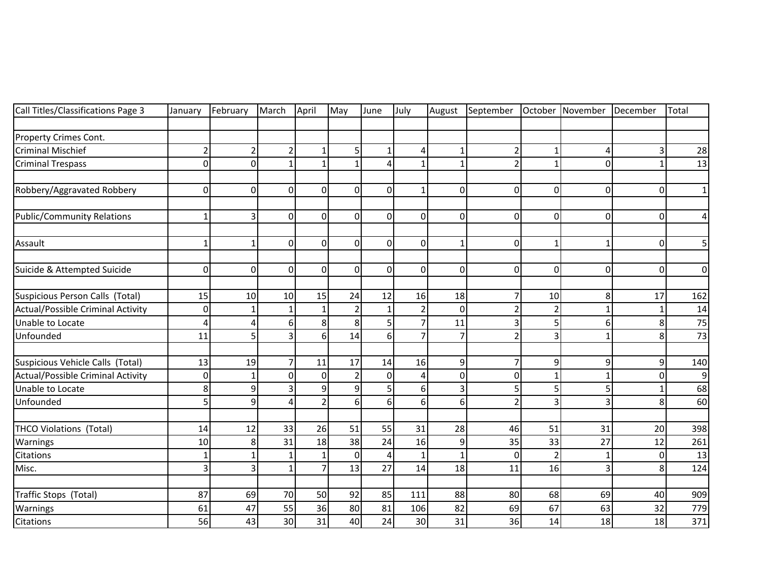| Call Titles/Classifications Page 3 | January          | February       | March          | April          | May            | June           | July           | August         | September October |                | November       | December    | Total          |
|------------------------------------|------------------|----------------|----------------|----------------|----------------|----------------|----------------|----------------|-------------------|----------------|----------------|-------------|----------------|
|                                    |                  |                |                |                |                |                |                |                |                   |                |                |             |                |
| Property Crimes Cont.              |                  |                |                |                |                |                |                |                |                   |                |                |             |                |
| <b>Criminal Mischief</b>           | $\overline{c}$   | $\overline{2}$ | $\overline{2}$ |                | 5              | 1              | $\overline{4}$ | $\mathbf 1$    | 2                 | 1              | Δ              | 3           | 28             |
| <b>Criminal Trespass</b>           | $\overline{0}$   | $\mathbf 0$    | $\mathbf{1}$   |                | 1              | 4              | $\mathbf 1$    | $\mathbf{1}$   | $\overline{2}$    | $\mathbf{1}$   | 0              | 1           | 13             |
| Robbery/Aggravated Robbery         | 0                | $\mathbf 0$    | $\Omega$       | $\Omega$       | $\overline{0}$ | 0              |                | $\overline{0}$ | $\overline{0}$    | $\overline{0}$ | $\Omega$       | 0           | $\mathbf{1}$   |
| <b>Public/Community Relations</b>  | $\mathbf{1}$     | 3              | $\overline{0}$ | $\Omega$       | $\overline{0}$ | $\mathbf 0$    | $\Omega$       | $\overline{0}$ | $\overline{0}$    | $\overline{0}$ | $\overline{0}$ | $\mathbf 0$ | $\overline{a}$ |
| Assault                            | $\mathbf{1}$     | $\mathbf{1}$   | $\mathbf 0$    | $\Omega$       | $\Omega$       | $\mathbf 0$    | $\Omega$       | $\mathbf{1}$   | $\mathbf 0$       | $\mathbf{1}$   | $\mathbf{1}$   | 0           | 5              |
| Suicide & Attempted Suicide        | 0                | $\mathbf 0$    | $\overline{0}$ | $\Omega$       | $\Omega$       | $\Omega$       | $\Omega$       | $\overline{0}$ | $\overline{0}$    | $\mathbf 0$    | $\Omega$       | $\mathbf 0$ | $\overline{0}$ |
| Suspicious Person Calls (Total)    | 15               | 10             | 10             | 15             | 24             | 12             | 16             | 18             | $\overline{7}$    | 10             | 8              | 17          | 162            |
| Actual/Possible Criminal Activity  | $\boldsymbol{0}$ |                | 1              |                | $\overline{2}$ |                |                | $\Omega$       | $\overline{2}$    | $\overline{2}$ | $\mathbf 1$    | 1           | 14             |
| Unable to Locate                   | 4                | Δ              | 6              | 8              | 8              | 5              | $\overline{7}$ | 11             | 3                 | 5              | 6              | 8           | 75             |
| Unfounded                          | 11               | 5              | 3              | 6              | 14             | $6 \mid$       | $\overline{7}$ | $\overline{7}$ | $\overline{2}$    | 3              | $\mathbf{1}$   | 8           | 73             |
| Suspicious Vehicle Calls (Total)   | 13               | 19             | 7              | 11             | 17             | 14             | 16             | $\overline{9}$ | $\overline{7}$    | $\overline{9}$ | 9              | 9           | 140            |
| Actual/Possible Criminal Activity  | 0                |                | $\Omega$       | $\Omega$       | $\overline{2}$ | 0              | 4              | $\overline{0}$ | 0                 | $\mathbf{1}$   | 1              | $\Omega$    | 9              |
| Unable to Locate                   | 8                | 9              | 3              | q              | 9              | 5              | 6              | 3              | 5                 | 5              | 5              |             | 68             |
| Unfounded                          | 5                | 9              | $\overline{A}$ | $\overline{2}$ | 6              | 6              | 6              | 6              | 2                 | 3              | $\overline{3}$ | 8           | 60             |
| <b>THCO Violations (Total)</b>     | 14               | 12             | 33             | 26             | 51             | 55             | 31             | 28             | 46                | 51             | 31             | 20          | 398            |
| Warnings                           | 10               | 8              | 31             | 18             | 38             | 24             | 16             | $\overline{9}$ | 35                | 33             | 27             | 12          | 261            |
| Citations                          | $\mathbf{1}$     |                | $\mathbf 1$    | $\mathbf{1}$   | $\mathbf{0}$   | $\overline{4}$ |                | $\mathbf{1}$   | $\Omega$          | $\overline{2}$ | $\mathbf{1}$   | 0           | 13             |
| Misc.                              | 3                | 3              | $\mathbf{1}$   | 7              | 13             | 27             | 14             | 18             | 11                | 16             | 3              | 8           | 124            |
| Traffic Stops (Total)              | 87               | 69             | 70             | 50             | 92             | 85             | 111            | 88             | 80                | 68             | 69             | 40          | 909            |
| Warnings                           | 61               | 47             | 55             | 36             | 80             | 81             | 106            | 82             | 69                | 67             | 63             | 32          | 779            |
| Citations                          | 56               | 43             | 30             | 31             | 40             | 24             | 30             | 31             | 36                | 14             | 18             | 18          | 371            |